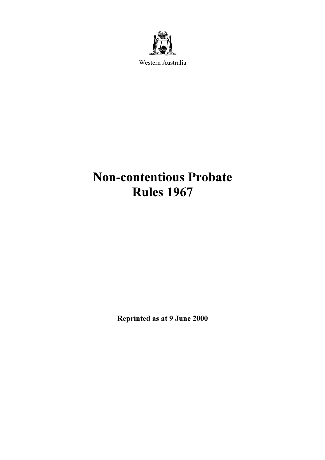

Western Australia

# Non-contentious Probate Rules 1967

Reprinted as at 9 June 2000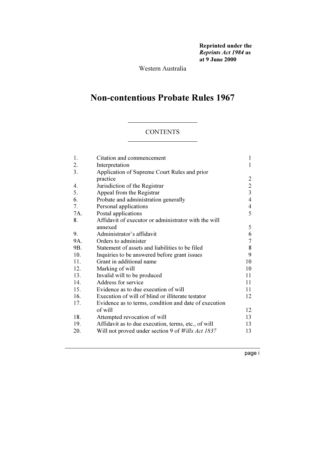Reprinted under the Reprints Act 1984 as at 9 June 2000

Western Australia

## Non-contentious Probate Rules 1967

## **CONTENTS**

| 1.  | Citation and commencement                                | $\mathbf{1}$   |
|-----|----------------------------------------------------------|----------------|
| 2.  | Interpretation                                           | 1              |
| 3.  | Application of Supreme Court Rules and prior             |                |
|     | practice                                                 | 2              |
| 4.  | Jurisdiction of the Registrar                            | $\overline{2}$ |
| 5.  | Appeal from the Registrar                                | $\overline{3}$ |
| 6.  | Probate and administration generally                     | $\overline{4}$ |
| 7.  | Personal applications                                    | $\overline{4}$ |
| 7A. | Postal applications                                      | 5              |
| 8.  | Affidavit of executor or administrator with the will     |                |
|     | annexed                                                  | 5              |
| 9.  | Administrator's affidavit                                | 6              |
| 9A. | Orders to administer                                     | 7              |
| 9B. | Statement of assets and liabilities to be filed          | 8              |
| 10. | Inquiries to be answered before grant issues             | 9              |
| 11. | Grant in additional name                                 | 10             |
| 12. | Marking of will                                          | 10             |
| 13. | Invalid will to be produced                              | 11             |
| 14. | Address for service                                      | 11             |
| 15. | Evidence as to due execution of will                     | 11             |
| 16. | Execution of will of blind or illiterate testator        | 12             |
| 17. | Evidence as to terms, condition and date of execution    |                |
|     | of will                                                  | 12             |
| 18. | Attempted revocation of will                             | 13             |
| 19. | Affidavit as to due execution, terms, etc., of will      | 13             |
| 20. | Will not proved under section 9 of <i>Wills Act 1837</i> | 13             |
|     |                                                          |                |

page i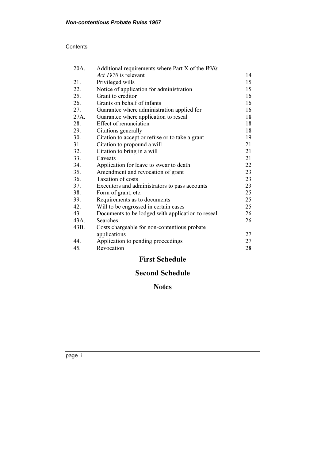#### **Contents**

| 20A. | Additional requirements where Part X of the Wills |    |
|------|---------------------------------------------------|----|
|      | <i>Act 1970</i> is relevant                       | 14 |
| 21.  | Privileged wills                                  | 15 |
| 22.  | Notice of application for administration          | 15 |
| 25.  | Grant to creditor                                 | 16 |
| 26.  | Grants on behalf of infants                       | 16 |
| 27.  | Guarantee where administration applied for        | 16 |
| 27A. | Guarantee where application to reseal             | 18 |
| 28.  | Effect of renunciation                            | 18 |
| 29.  | Citations generally                               | 18 |
| 30.  | Citation to accept or refuse or to take a grant   | 19 |
| 31.  | Citation to propound a will                       | 21 |
| 32.  | Citation to bring in a will                       | 21 |
| 33.  | Caveats                                           | 21 |
| 34.  | Application for leave to swear to death           | 22 |
| 35.  | Amendment and revocation of grant                 | 23 |
| 36.  | <b>Taxation of costs</b>                          | 23 |
| 37.  | Executors and administrators to pass accounts     | 23 |
| 38.  | Form of grant, etc.                               | 25 |
| 39.  | Requirements as to documents                      | 25 |
| 42.  | Will to be engrossed in certain cases             | 25 |
| 43.  | Documents to be lodged with application to reseal | 26 |
| 43A. | <b>Searches</b>                                   | 26 |
| 43B. | Costs chargeable for non-contentious probate      |    |
|      | applications                                      | 27 |
| 44.  | Application to pending proceedings                | 27 |
| 45.  | Revocation                                        | 28 |
|      |                                                   |    |

## First Schedule

## Second Schedule

## Notes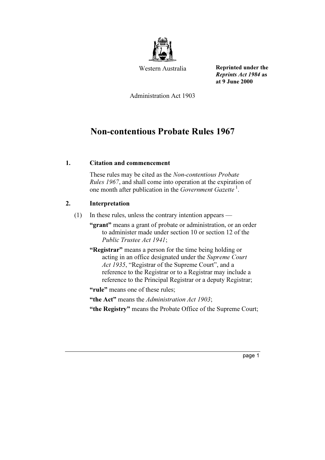

Western Australia

Reprinted under the Reprints Act 1984 as at 9 June 2000

Administration Act 1903

## Non-contentious Probate Rules 1967

## 1. Citation and commencement

 These rules may be cited as the Non-contentious Probate Rules 1967, and shall come into operation at the expiration of one month after publication in the Government Gazette<sup>1</sup>.

## 2. Interpretation

(1) In these rules, unless the contrary intention appears —

 "grant" means a grant of probate or administration, or an order to administer made under section 10 or section 12 of the Public Trustee Act 1941;

"Registrar" means a person for the time being holding or acting in an office designated under the Supreme Court Act 1935, "Registrar of the Supreme Court", and a reference to the Registrar or to a Registrar may include a reference to the Principal Registrar or a deputy Registrar;

"rule" means one of these rules;

"the Act" means the Administration Act 1903;

"the Registry" means the Probate Office of the Supreme Court;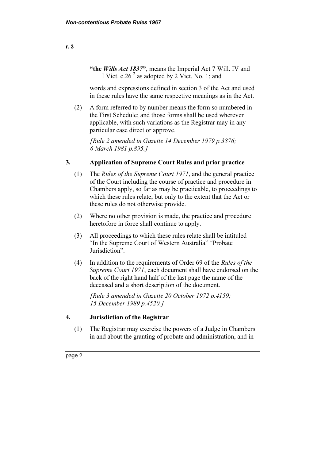"the *Wills Act 1837*", means the Imperial Act 7 Will. IV and I Vict. c.26<sup> $2$ </sup> as adopted by 2 Vict. No. 1; and

 words and expressions defined in section 3 of the Act and used in these rules have the same respective meanings as in the Act.

 (2) A form referred to by number means the form so numbered in the First Schedule; and those forms shall be used wherever applicable, with such variations as the Registrar may in any particular case direct or approve.

 [Rule 2 amended in Gazette 14 December 1979 p.3876; 6 March 1981 p.895.]

## 3. Application of Supreme Court Rules and prior practice

- (1) The Rules of the Supreme Court 1971, and the general practice of the Court including the course of practice and procedure in Chambers apply, so far as may be practicable, to proceedings to which these rules relate, but only to the extent that the Act or these rules do not otherwise provide.
- (2) Where no other provision is made, the practice and procedure heretofore in force shall continue to apply.
- (3) All proceedings to which these rules relate shall be intituled "In the Supreme Court of Western Australia" "Probate Jurisdiction".
- (4) In addition to the requirements of Order 69 of the Rules of the Supreme Court 1971, each document shall have endorsed on the back of the right hand half of the last page the name of the deceased and a short description of the document.

 [Rule 3 amended in Gazette 20 October 1972 p.4159; 15 December 1989 p.4520.]

## 4. Jurisdiction of the Registrar

 (1) The Registrar may exercise the powers of a Judge in Chambers in and about the granting of probate and administration, and in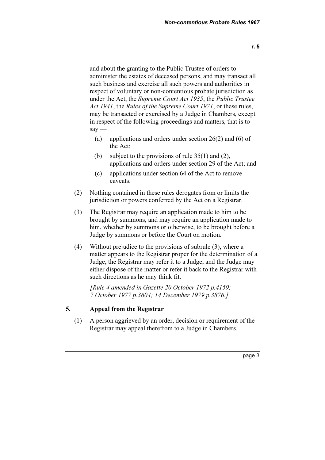and about the granting to the Public Trustee of orders to administer the estates of deceased persons, and may transact all such business and exercise all such powers and authorities in respect of voluntary or non-contentious probate jurisdiction as under the Act, the Supreme Court Act 1935, the Public Trustee Act 1941, the Rules of the Supreme Court 1971, or these rules, may be transacted or exercised by a Judge in Chambers, except in respect of the following proceedings and matters, that is to  $sav -$ 

- (a) applications and orders under section 26(2) and (6) of the Act;
- (b) subject to the provisions of rule  $35(1)$  and  $(2)$ , applications and orders under section 29 of the Act; and
- (c) applications under section 64 of the Act to remove caveats.
- (2) Nothing contained in these rules derogates from or limits the jurisdiction or powers conferred by the Act on a Registrar.
- (3) The Registrar may require an application made to him to be brought by summons, and may require an application made to him, whether by summons or otherwise, to be brought before a Judge by summons or before the Court on motion.
- (4) Without prejudice to the provisions of subrule (3), where a matter appears to the Registrar proper for the determination of a Judge, the Registrar may refer it to a Judge, and the Judge may either dispose of the matter or refer it back to the Registrar with such directions as he may think fit.

 [Rule 4 amended in Gazette 20 October 1972 p.4159; 7 October 1977 p.3604; 14 December 1979 p.3876.]

## 5. Appeal from the Registrar

 (1) A person aggrieved by an order, decision or requirement of the Registrar may appeal therefrom to a Judge in Chambers.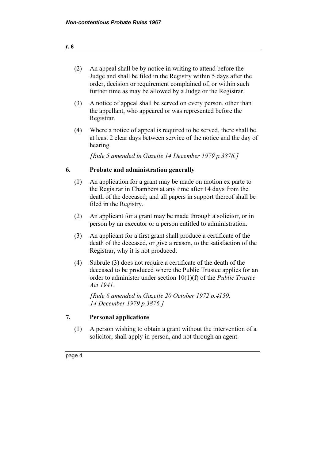| (2) | An appeal shall be by notice in writing to attend before the     |
|-----|------------------------------------------------------------------|
|     | Judge and shall be filed in the Registry within 5 days after the |
|     | order, decision or requirement complained of, or within such     |
|     | further time as may be allowed by a Judge or the Registrar.      |

- (3) A notice of appeal shall be served on every person, other than the appellant, who appeared or was represented before the Registrar.
- (4) Where a notice of appeal is required to be served, there shall be at least 2 clear days between service of the notice and the day of hearing.

[Rule 5 amended in Gazette 14 December 1979 p.3876.]

## 6. Probate and administration generally

- (1) An application for a grant may be made on motion ex parte to the Registrar in Chambers at any time after 14 days from the death of the deceased; and all papers in support thereof shall be filed in the Registry.
- (2) An applicant for a grant may be made through a solicitor, or in person by an executor or a person entitled to administration.
- (3) An applicant for a first grant shall produce a certificate of the death of the deceased, or give a reason, to the satisfaction of the Registrar, why it is not produced.
- (4) Subrule (3) does not require a certificate of the death of the deceased to be produced where the Public Trustee applies for an order to administer under section 10(1)(f) of the Public Trustee Act 1941.

 [Rule 6 amended in Gazette 20 October 1972 p.4159; 14 December 1979 p.3876.]

## 7. Personal applications

 (1) A person wishing to obtain a grant without the intervention of a solicitor, shall apply in person, and not through an agent.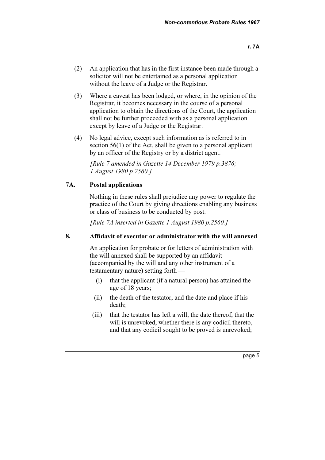- (2) An application that has in the first instance been made through a solicitor will not be entertained as a personal application without the leave of a Judge or the Registrar.
- (3) Where a caveat has been lodged, or where, in the opinion of the Registrar, it becomes necessary in the course of a personal application to obtain the directions of the Court, the application shall not be further proceeded with as a personal application except by leave of a Judge or the Registrar.
- (4) No legal advice, except such information as is referred to in section 56(1) of the Act, shall be given to a personal applicant by an officer of the Registry or by a district agent.

 [Rule 7 amended in Gazette 14 December 1979 p.3876; 1 August 1980 p.2560.]

## 7A. Postal applications

 Nothing in these rules shall prejudice any power to regulate the practice of the Court by giving directions enabling any business or class of business to be conducted by post.

[Rule 7A inserted in Gazette 1 August 1980 p.2560.]

## 8. Affidavit of executor or administrator with the will annexed

 An application for probate or for letters of administration with the will annexed shall be supported by an affidavit (accompanied by the will and any other instrument of a testamentary nature) setting forth —

- (i) that the applicant (if a natural person) has attained the age of 18 years;
- (ii) the death of the testator, and the date and place if his death;
- (iii) that the testator has left a will, the date thereof, that the will is unrevoked, whether there is any codicil thereto, and that any codicil sought to be proved is unrevoked;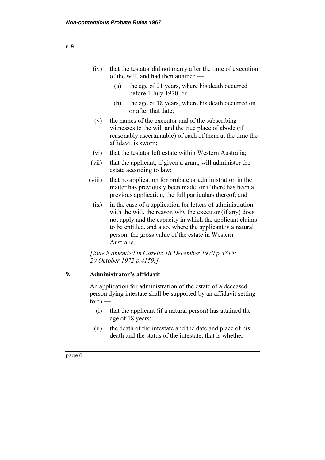| (iv)   | that the testator did not marry after the time of execution<br>of the will, and had then attained —                                                                                                                                                                                                                |  |  |
|--------|--------------------------------------------------------------------------------------------------------------------------------------------------------------------------------------------------------------------------------------------------------------------------------------------------------------------|--|--|
|        | the age of 21 years, where his death occurred<br>(a)<br>before 1 July 1970, or                                                                                                                                                                                                                                     |  |  |
|        | the age of 18 years, where his death occurred on<br>(b)<br>or after that date;                                                                                                                                                                                                                                     |  |  |
| (v)    | the names of the executor and of the subscribing<br>witnesses to the will and the true place of abode (if<br>reasonably ascertainable) of each of them at the time the<br>affidavit is sworn;                                                                                                                      |  |  |
| (vi)   | that the testator left estate within Western Australia;                                                                                                                                                                                                                                                            |  |  |
| (vii)  | that the applicant, if given a grant, will administer the<br>estate according to law;                                                                                                                                                                                                                              |  |  |
| (viii) | that no application for probate or administration in the<br>matter has previously been made, or if there has been a<br>previous application, the full particulars thereof; and                                                                                                                                     |  |  |
| (ix)   | in the case of a application for letters of administration<br>with the will, the reason why the executor (if any) does<br>not apply and the capacity in which the applicant claims<br>to be entitled, and also, where the applicant is a natural<br>person, the gross value of the estate in Western<br>Australia. |  |  |
|        | [Rule 8 amended in Gazette 18 December 1970 p.3815;<br>20 October 1972 p.4159.]                                                                                                                                                                                                                                    |  |  |

## 9. Administrator's affidavit

 An application for administration of the estate of a deceased person dying intestate shall be supported by an affidavit setting  $forth$  —

- (i) that the applicant (if a natural person) has attained the age of 18 years;
- (ii) the death of the intestate and the date and place of his death and the status of the intestate, that is whether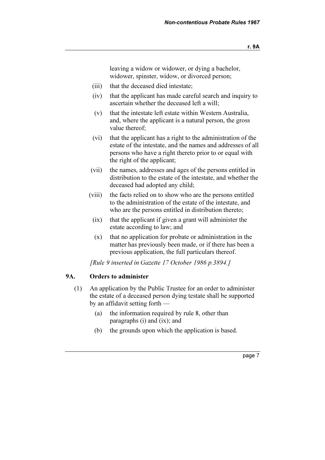leaving a widow or widower, or dying a bachelor, widower, spinster, widow, or divorced person;

- (iii) that the deceased died intestate;
- (iv) that the applicant has made careful search and inquiry to ascertain whether the deceased left a will;
- (v) that the intestate left estate within Western Australia, and, where the applicant is a natural person, the gross value thereof;
- (vi) that the applicant has a right to the administration of the estate of the intestate, and the names and addresses of all persons who have a right thereto prior to or equal with the right of the applicant;
- (vii) the names, addresses and ages of the persons entitled in distribution to the estate of the intestate, and whether the deceased had adopted any child;
- (viii) the facts relied on to show who are the persons entitled to the administration of the estate of the intestate, and who are the persons entitled in distribution thereto;
	- (ix) that the applicant if given a grant will administer the estate according to law; and
	- (x) that no application for probate or administration in the matter has previously been made, or if there has been a previous application, the full particulars thereof.

[Rule 9 inserted in Gazette 17 October 1986 p.3894.]

#### 9A. Orders to administer

- (1) An application by the Public Trustee for an order to administer the estate of a deceased person dying testate shall be supported by an affidavit setting forth —
	- (a) the information required by rule 8, other than paragraphs (i) and (ix); and
	- (b) the grounds upon which the application is based.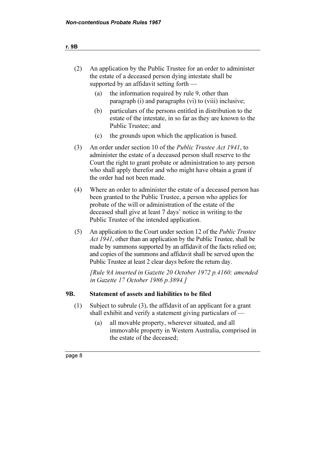| An application by the Public Trustee for an order to administer |
|-----------------------------------------------------------------|
| the estate of a deceased person dying intestate shall be        |
| supported by an affidavit setting forth $-$                     |

- (a) the information required by rule 9, other than paragraph (i) and paragraphs (vi) to (viii) inclusive;
- (b) particulars of the persons entitled in distribution to the estate of the intestate, in so far as they are known to the Public Trustee; and
- (c) the grounds upon which the application is based.
- (3) An order under section 10 of the Public Trustee Act 1941, to administer the estate of a deceased person shall reserve to the Court the right to grant probate or administration to any person who shall apply therefor and who might have obtain a grant if the order had not been made.
- (4) Where an order to administer the estate of a deceased person has been granted to the Public Trustee, a person who applies for probate of the will or administration of the estate of the deceased shall give at least 7 days' notice in writing to the Public Trustee of the intended application.
- (5) An application to the Court under section 12 of the Public Trustee Act 1941, other than an application by the Public Trustee, shall be made by summons supported by an affidavit of the facts relied on; and copies of the summons and affidavit shall be served upon the Public Trustee at least 2 clear days before the return day.

 [Rule 9A inserted in Gazette 20 October 1972 p.4160; amended in Gazette 17 October 1986 p.3894.]

## 9B. Statement of assets and liabilities to be filed

- (1) Subject to subrule (3), the affidavit of an applicant for a grant shall exhibit and verify a statement giving particulars of —
	- (a) all movable property, wherever situated, and all immovable property in Western Australia, comprised in the estate of the deceased;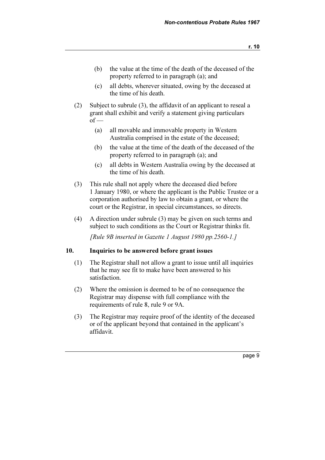- (b) the value at the time of the death of the deceased of the property referred to in paragraph (a); and
- (c) all debts, wherever situated, owing by the deceased at the time of his death.
- (2) Subject to subrule (3), the affidavit of an applicant to reseal a grant shall exhibit and verify a statement giving particulars  $of -$ 
	- (a) all movable and immovable property in Western Australia comprised in the estate of the deceased;
	- (b) the value at the time of the death of the deceased of the property referred to in paragraph (a); and
	- (c) all debts in Western Australia owing by the deceased at the time of his death.
- (3) This rule shall not apply where the deceased died before 1 January 1980, or where the applicant is the Public Trustee or a corporation authorised by law to obtain a grant, or where the court or the Registrar, in special circumstances, so directs.
- (4) A direction under subrule (3) may be given on such terms and subject to such conditions as the Court or Registrar thinks fit.

[Rule 9B inserted in Gazette 1 August 1980 pp.2560-1.]

## 10. Inquiries to be answered before grant issues

- (1) The Registrar shall not allow a grant to issue until all inquiries that he may see fit to make have been answered to his satisfaction.
- (2) Where the omission is deemed to be of no consequence the Registrar may dispense with full compliance with the requirements of rule 8, rule 9 or 9A.
- (3) The Registrar may require proof of the identity of the deceased or of the applicant beyond that contained in the applicant's affidavit.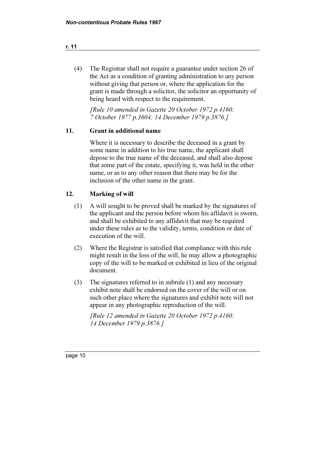(4) The Registrar shall not require a guarantee under section 26 of the Act as a condition of granting administration to any person without giving that person or, where the application for the grant is made through a solicitor, the solicitor an opportunity of being heard with respect to the requirement.

 [Rule 10 amended in Gazette 20 October 1972 p.4160; 7 October 1977 p.3604; 14 December 1979 p.3876.]

## 11. Grant in additional name

 Where it is necessary to describe the deceased in a grant by some name in addition to his true name, the applicant shall depose to the true name of the deceased, and shall also depose that some part of the estate, specifying it, was held in the other name, or as to any other reason that there may be for the inclusion of the other name in the grant.

## 12. Marking of will

- (1) A will sought to be proved shall be marked by the signatures of the applicant and the person before whom his affidavit is sworn, and shall be exhibited to any affidavit that may be required under these rules as to the validity, terms, condition or date of execution of the will.
- (2) Where the Registrar is satisfied that compliance with this rule might result in the loss of the will, he may allow a photographic copy of the will to be marked or exhibited in lieu of the original document.
- (3) The signatures referred to in subrule (1) and any necessary exhibit note shall be endorsed on the cover of the will or on such other place where the signatures and exhibit note will not appear in any photographic reproduction of the will.

 [Rule 12 amended in Gazette 20 October 1972 p.4160; 14 December 1979 p.3876.]

#### r. 11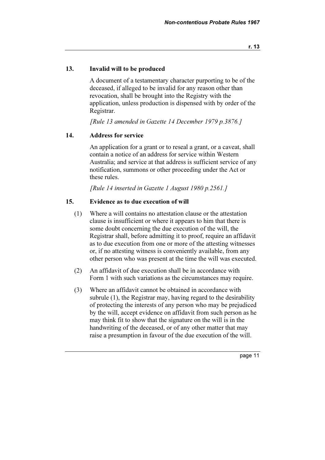## 13. Invalid will to be produced

 A document of a testamentary character purporting to be of the deceased, if alleged to be invalid for any reason other than revocation, shall be brought into the Registry with the application, unless production is dispensed with by order of the Registrar.

[Rule 13 amended in Gazette 14 December 1979 p.3876.]

## 14. Address for service

 An application for a grant or to reseal a grant, or a caveat, shall contain a notice of an address for service within Western Australia; and service at that address is sufficient service of any notification, summons or other proceeding under the Act or these rules.

[Rule 14 inserted in Gazette 1 August 1980 p.2561.]

## 15. Evidence as to due execution of will

- (1) Where a will contains no attestation clause or the attestation clause is insufficient or where it appears to him that there is some doubt concerning the due execution of the will, the Registrar shall, before admitting it to proof, require an affidavit as to due execution from one or more of the attesting witnesses or, if no attesting witness is conveniently available, from any other person who was present at the time the will was executed.
- (2) An affidavit of due execution shall be in accordance with Form 1 with such variations as the circumstances may require.
- (3) Where an affidavit cannot be obtained in accordance with subrule (1), the Registrar may, having regard to the desirability of protecting the interests of any person who may be prejudiced by the will, accept evidence on affidavit from such person as he may think fit to show that the signature on the will is in the handwriting of the deceased, or of any other matter that may raise a presumption in favour of the due execution of the will.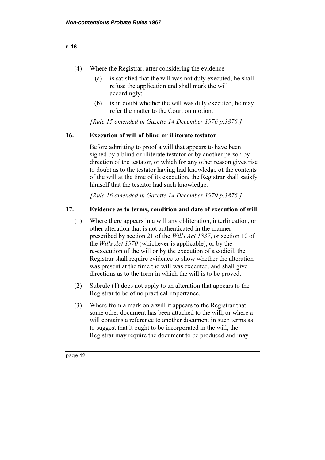- (4) Where the Registrar, after considering the evidence
	- (a) is satisfied that the will was not duly executed, he shall refuse the application and shall mark the will accordingly;
	- (b) is in doubt whether the will was duly executed, he may refer the matter to the Court on motion.

[Rule 15 amended in Gazette 14 December 1976 p.3876.]

## 16. Execution of will of blind or illiterate testator

 Before admitting to proof a will that appears to have been signed by a blind or illiterate testator or by another person by direction of the testator, or which for any other reason gives rise to doubt as to the testator having had knowledge of the contents of the will at the time of its execution, the Registrar shall satisfy himself that the testator had such knowledge.

[Rule 16 amended in Gazette 14 December 1979 p.3876.]

## 17. Evidence as to terms, condition and date of execution of will

- (1) Where there appears in a will any obliteration, interlineation, or other alteration that is not authenticated in the manner prescribed by section 21 of the *Wills Act 1837*, or section 10 of the Wills Act 1970 (whichever is applicable), or by the re-execution of the will or by the execution of a codicil, the Registrar shall require evidence to show whether the alteration was present at the time the will was executed, and shall give directions as to the form in which the will is to be proved.
- (2) Subrule (1) does not apply to an alteration that appears to the Registrar to be of no practical importance.
- (3) Where from a mark on a will it appears to the Registrar that some other document has been attached to the will, or where a will contains a reference to another document in such terms as to suggest that it ought to be incorporated in the will, the Registrar may require the document to be produced and may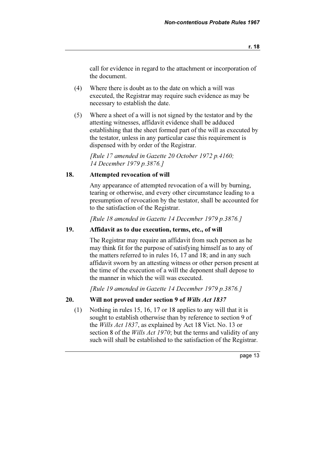call for evidence in regard to the attachment or incorporation of the document.

- (4) Where there is doubt as to the date on which a will was executed, the Registrar may require such evidence as may be necessary to establish the date.
- (5) Where a sheet of a will is not signed by the testator and by the attesting witnesses, affidavit evidence shall be adduced establishing that the sheet formed part of the will as executed by the testator, unless in any particular case this requirement is dispensed with by order of the Registrar.

 [Rule 17 amended in Gazette 20 October 1972 p.4160; 14 December 1979 p.3876.]

## 18. Attempted revocation of will

 Any appearance of attempted revocation of a will by burning, tearing or otherwise, and every other circumstance leading to a presumption of revocation by the testator, shall be accounted for to the satisfaction of the Registrar.

[Rule 18 amended in Gazette 14 December 1979 p.3876.]

#### 19. Affidavit as to due execution, terms, etc., of will

 The Registrar may require an affidavit from such person as he may think fit for the purpose of satisfying himself as to any of the matters referred to in rules 16, 17 and 18; and in any such affidavit sworn by an attesting witness or other person present at the time of the execution of a will the deponent shall depose to the manner in which the will was executed.

[Rule 19 amended in Gazette 14 December 1979 p.3876.]

## 20. Will not proved under section 9 of Wills Act 1837

 (1) Nothing in rules 15, 16, 17 or 18 applies to any will that it is sought to establish otherwise than by reference to section 9 of the Wills Act 1837, as explained by Act 18 Vict. No. 13 or section 8 of the *Wills Act 1970*; but the terms and validity of any such will shall be established to the satisfaction of the Registrar.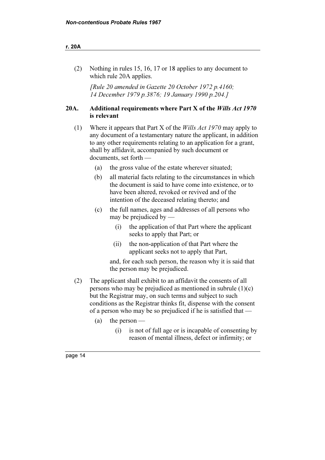#### r. 20A

 (2) Nothing in rules 15, 16, 17 or 18 applies to any document to which rule 20A applies.

 [Rule 20 amended in Gazette 20 October 1972 p.4160; 14 December 1979 p.3876; 19 January 1990 p.204.]

## 20A. Additional requirements where Part X of the Wills Act 1970 is relevant

- (1) Where it appears that Part X of the Wills Act 1970 may apply to any document of a testamentary nature the applicant, in addition to any other requirements relating to an application for a grant, shall by affidavit, accompanied by such document or documents, set forth —
	- (a) the gross value of the estate wherever situated;
	- (b) all material facts relating to the circumstances in which the document is said to have come into existence, or to have been altered, revoked or revived and of the intention of the deceased relating thereto; and
	- (c) the full names, ages and addresses of all persons who may be prejudiced by —
		- (i) the application of that Part where the applicant seeks to apply that Part; or
		- (ii) the non-application of that Part where the applicant seeks not to apply that Part,

 and, for each such person, the reason why it is said that the person may be prejudiced.

- (2) The applicant shall exhibit to an affidavit the consents of all persons who may be prejudiced as mentioned in subrule (1)(c) but the Registrar may, on such terms and subject to such conditions as the Registrar thinks fit, dispense with the consent of a person who may be so prejudiced if he is satisfied that —
	- (a) the person
		- (i) is not of full age or is incapable of consenting by reason of mental illness, defect or infirmity; or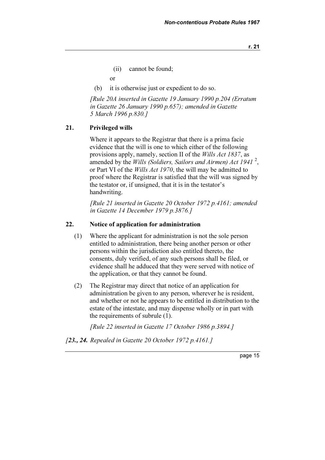r. 21

(ii) cannot be found;

or

(b) it is otherwise just or expedient to do so.

 [Rule 20A inserted in Gazette 19 January 1990 p.204 (Erratum in Gazette 26 January 1990 p.657); amended in Gazette 5 March 1996 p.830.]

#### 21. Privileged wills

 Where it appears to the Registrar that there is a prima facie evidence that the will is one to which either of the following provisions apply, namely, section II of the Wills Act 1837, as amended by the Wills (Soldiers, Sailors and Airmen) Act 1941<sup>2</sup>, or Part VI of the Wills Act 1970, the will may be admitted to proof where the Registrar is satisfied that the will was signed by the testator or, if unsigned, that it is in the testator's handwriting.

 [Rule 21 inserted in Gazette 20 October 1972 p.4161; amended in Gazette 14 December 1979 p.3876.]

## 22. Notice of application for administration

- (1) Where the applicant for administration is not the sole person entitled to administration, there being another person or other persons within the jurisdiction also entitled thereto, the consents, duly verified, of any such persons shall be filed, or evidence shall he adduced that they were served with notice of the application, or that they cannot be found.
- (2) The Registrar may direct that notice of an application for administration be given to any person, wherever he is resident, and whether or not he appears to be entitled in distribution to the estate of the intestate, and may dispense wholly or in part with the requirements of subrule (1).

[Rule 22 inserted in Gazette 17 October 1986 p.3894.]

[23., 24. Repealed in Gazette 20 October 1972 p.4161.]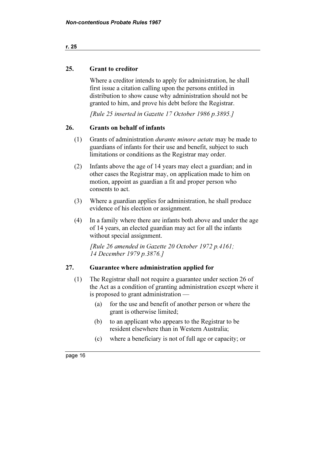#### r. 25

## 25. Grant to creditor

 Where a creditor intends to apply for administration, he shall first issue a citation calling upon the persons entitled in distribution to show cause why administration should not be granted to him, and prove his debt before the Registrar.

[Rule 25 inserted in Gazette 17 October 1986 p.3895.]

## 26. Grants on behalf of infants

- (1) Grants of administration durante minore aetate may be made to guardians of infants for their use and benefit, subject to such limitations or conditions as the Registrar may order.
- (2) Infants above the age of 14 years may elect a guardian; and in other cases the Registrar may, on application made to him on motion, appoint as guardian a fit and proper person who consents to act.
- (3) Where a guardian applies for administration, he shall produce evidence of his election or assignment.
- (4) In a family where there are infants both above and under the age of 14 years, an elected guardian may act for all the infants without special assignment.

 [Rule 26 amended in Gazette 20 October 1972 p.4161; 14 December 1979 p.3876.]

## 27. Guarantee where administration applied for

- (1) The Registrar shall not require a guarantee under section 26 of the Act as a condition of granting administration except where it is proposed to grant administration —
	- (a) for the use and benefit of another person or where the grant is otherwise limited;
	- (b) to an applicant who appears to the Registrar to be resident elsewhere than in Western Australia;
	- (c) where a beneficiary is not of full age or capacity; or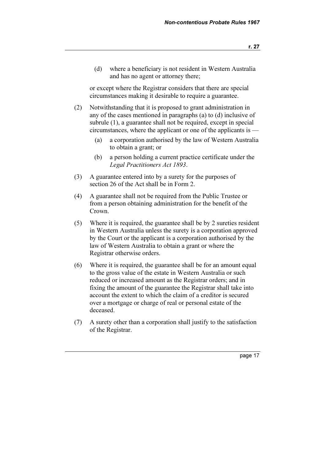(d) where a beneficiary is not resident in Western Australia and has no agent or attorney there;

 or except where the Registrar considers that there are special circumstances making it desirable to require a guarantee.

- (2) Notwithstanding that it is proposed to grant administration in any of the cases mentioned in paragraphs (a) to (d) inclusive of subrule (1), a guarantee shall not be required, except in special circumstances, where the applicant or one of the applicants is —
	- (a) a corporation authorised by the law of Western Australia to obtain a grant; or
	- (b) a person holding a current practice certificate under the Legal Practitioners Act 1893.
- (3) A guarantee entered into by a surety for the purposes of section 26 of the Act shall be in Form 2.
- (4) A guarantee shall not be required from the Public Trustee or from a person obtaining administration for the benefit of the Crown.
- (5) Where it is required, the guarantee shall be by 2 sureties resident in Western Australia unless the surety is a corporation approved by the Court or the applicant is a corporation authorised by the law of Western Australia to obtain a grant or where the Registrar otherwise orders.
- (6) Where it is required, the guarantee shall be for an amount equal to the gross value of the estate in Western Australia or such reduced or increased amount as the Registrar orders; and in fixing the amount of the guarantee the Registrar shall take into account the extent to which the claim of a creditor is secured over a mortgage or charge of real or personal estate of the deceased.
- (7) A surety other than a corporation shall justify to the satisfaction of the Registrar.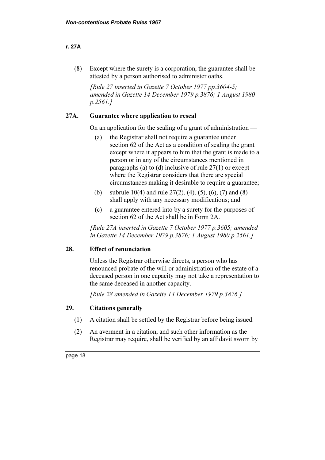#### r. 27A

 (8) Except where the surety is a corporation, the guarantee shall be attested by a person authorised to administer oaths.

 [Rule 27 inserted in Gazette 7 October 1977 pp.3604-5; amended in Gazette 14 December 1979 p.3876; 1 August 1980 p.2561.]

## 27A. Guarantee where application to reseal

On an application for the sealing of a grant of administration —

- (a) the Registrar shall not require a guarantee under section 62 of the Act as a condition of sealing the grant except where it appears to him that the grant is made to a person or in any of the circumstances mentioned in paragraphs (a) to (d) inclusive of rule 27(1) or except where the Registrar considers that there are special circumstances making it desirable to require a guarantee;
- (b) subrule 10(4) and rule  $27(2)$ , (4), (5), (6), (7) and (8) shall apply with any necessary modifications; and
- (c) a guarantee entered into by a surety for the purposes of section 62 of the Act shall be in Form 2A.

 [Rule 27A inserted in Gazette 7 October 1977 p.3605; amended in Gazette 14 December 1979 p.3876; 1 August 1980 p.2561.]

## 28. Effect of renunciation

 Unless the Registrar otherwise directs, a person who has renounced probate of the will or administration of the estate of a deceased person in one capacity may not take a representation to the same deceased in another capacity.

[Rule 28 amended in Gazette 14 December 1979 p.3876.]

## 29. Citations generally

- (1) A citation shall be settled by the Registrar before being issued.
- (2) An averment in a citation, and such other information as the Registrar may require, shall be verified by an affidavit sworn by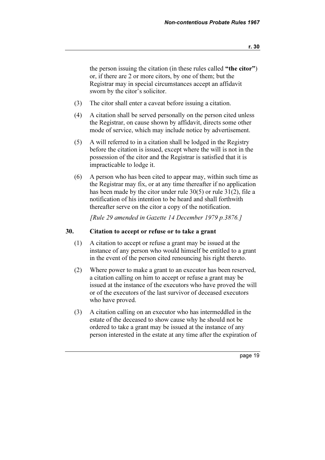the person issuing the citation (in these rules called "the citor") or, if there are 2 or more citors, by one of them; but the Registrar may in special circumstances accept an affidavit sworn by the citor's solicitor.

- (3) The citor shall enter a caveat before issuing a citation.
- (4) A citation shall be served personally on the person cited unless the Registrar, on cause shown by affidavit, directs some other mode of service, which may include notice by advertisement.
- (5) A will referred to in a citation shall be lodged in the Registry before the citation is issued, except where the will is not in the possession of the citor and the Registrar is satisfied that it is impracticable to lodge it.
- (6) A person who has been cited to appear may, within such time as the Registrar may fix, or at any time thereafter if no application has been made by the citor under rule 30(5) or rule 31(2), file a notification of his intention to be heard and shall forthwith thereafter serve on the citor a copy of the notification.

[Rule 29 amended in Gazette 14 December 1979 p.3876.]

## 30. Citation to accept or refuse or to take a grant

- (1) A citation to accept or refuse a grant may be issued at the instance of any person who would himself be entitled to a grant in the event of the person cited renouncing his right thereto.
- (2) Where power to make a grant to an executor has been reserved, a citation calling on him to accept or refuse a grant may be issued at the instance of the executors who have proved the will or of the executors of the last survivor of deceased executors who have proved.
- (3) A citation calling on an executor who has intermeddled in the estate of the deceased to show cause why he should not be ordered to take a grant may be issued at the instance of any person interested in the estate at any time after the expiration of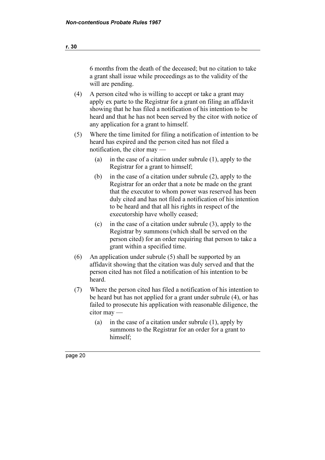6 months from the death of the deceased; but no citation to take a grant shall issue while proceedings as to the validity of the will are pending.

- (4) A person cited who is willing to accept or take a grant may apply ex parte to the Registrar for a grant on filing an affidavit showing that he has filed a notification of his intention to be heard and that he has not been served by the citor with notice of any application for a grant to himself.
- (5) Where the time limited for filing a notification of intention to be heard has expired and the person cited has not filed a notification, the citor may —
	- (a) in the case of a citation under subrule (1), apply to the Registrar for a grant to himself;
	- (b) in the case of a citation under subrule (2), apply to the Registrar for an order that a note be made on the grant that the executor to whom power was reserved has been duly cited and has not filed a notification of his intention to be heard and that all his rights in respect of the executorship have wholly ceased;
	- (c) in the case of a citation under subrule (3), apply to the Registrar by summons (which shall be served on the person cited) for an order requiring that person to take a grant within a specified time.
- (6) An application under subrule (5) shall be supported by an affidavit showing that the citation was duly served and that the person cited has not filed a notification of his intention to be heard.
- (7) Where the person cited has filed a notification of his intention to be heard but has not applied for a grant under subrule (4), or has failed to prosecute his application with reasonable diligence, the citor may —
	- (a) in the case of a citation under subrule (1), apply by summons to the Registrar for an order for a grant to himself;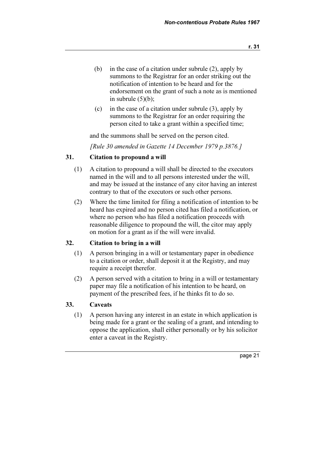- (b) in the case of a citation under subrule (2), apply by summons to the Registrar for an order striking out the notification of intention to be heard and for the endorsement on the grant of such a note as is mentioned in subrule  $(5)(b)$ ;
- (c) in the case of a citation under subrule (3), apply by summons to the Registrar for an order requiring the person cited to take a grant within a specified time;

and the summons shall be served on the person cited.

[Rule 30 amended in Gazette 14 December 1979 p.3876.]

#### 31. Citation to propound a will

- (1) A citation to propound a will shall be directed to the executors named in the will and to all persons interested under the will, and may be issued at the instance of any citor having an interest contrary to that of the executors or such other persons.
- (2) Where the time limited for filing a notification of intention to be heard has expired and no person cited has filed a notification, or where no person who has filed a notification proceeds with reasonable diligence to propound the will, the citor may apply on motion for a grant as if the will were invalid.

## 32. Citation to bring in a will

- (1) A person bringing in a will or testamentary paper in obedience to a citation or order, shall deposit it at the Registry, and may require a receipt therefor.
- (2) A person served with a citation to bring in a will or testamentary paper may file a notification of his intention to be heard, on payment of the prescribed fees, if he thinks fit to do so.

## 33. Caveats

 (1) A person having any interest in an estate in which application is being made for a grant or the sealing of a grant, and intending to oppose the application, shall either personally or by his solicitor enter a caveat in the Registry.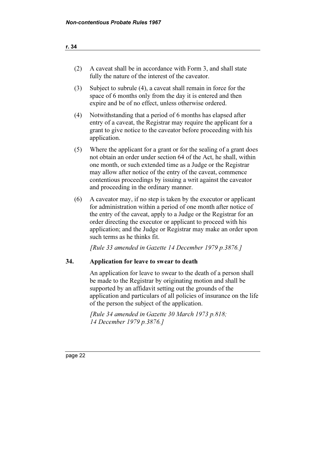| (2) A caveat shall be in accordance with Form 3, and shall state |
|------------------------------------------------------------------|
| fully the nature of the interest of the caveator.                |

- (3) Subject to subrule (4), a caveat shall remain in force for the space of 6 months only from the day it is entered and then expire and be of no effect, unless otherwise ordered.
- (4) Notwithstanding that a period of 6 months has elapsed after entry of a caveat, the Registrar may require the applicant for a grant to give notice to the caveator before proceeding with his application.
- (5) Where the applicant for a grant or for the sealing of a grant does not obtain an order under section 64 of the Act, he shall, within one month, or such extended time as a Judge or the Registrar may allow after notice of the entry of the caveat, commence contentious proceedings by issuing a writ against the caveator and proceeding in the ordinary manner.
- (6) A caveator may, if no step is taken by the executor or applicant for administration within a period of one month after notice of the entry of the caveat, apply to a Judge or the Registrar for an order directing the executor or applicant to proceed with his application; and the Judge or Registrar may make an order upon such terms as he thinks fit.

[Rule 33 amended in Gazette 14 December 1979 p.3876.]

## 34. Application for leave to swear to death

 An application for leave to swear to the death of a person shall be made to the Registrar by originating motion and shall be supported by an affidavit setting out the grounds of the application and particulars of all policies of insurance on the life of the person the subject of the application.

 [Rule 34 amended in Gazette 30 March 1973 p.818; 14 December 1979 p.3876.]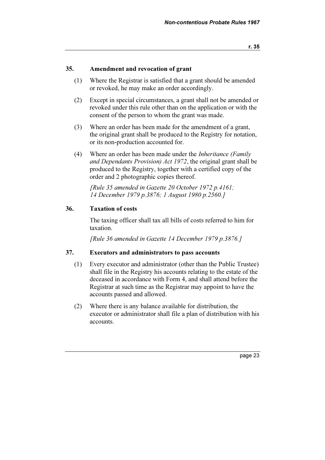#### 35. Amendment and revocation of grant

- (1) Where the Registrar is satisfied that a grant should be amended or revoked, he may make an order accordingly.
- (2) Except in special circumstances, a grant shall not be amended or revoked under this rule other than on the application or with the consent of the person to whom the grant was made.
- (3) Where an order has been made for the amendment of a grant, the original grant shall be produced to the Registry for notation, or its non-production accounted for.
- (4) Where an order has been made under the Inheritance (Family and Dependants Provision) Act 1972, the original grant shall be produced to the Registry, together with a certified copy of the order and 2 photographic copies thereof.

[Rule 35 amended in Gazette 20 October 1972 p.4161; 14 December 1979 p.3876; 1 August 1980 p.2560.]

#### 36. Taxation of costs

 The taxing officer shall tax all bills of costs referred to him for taxation.

[Rule 36 amended in Gazette 14 December 1979 p.3876.]

#### 37. Executors and administrators to pass accounts

- (1) Every executor and administrator (other than the Public Trustee) shall file in the Registry his accounts relating to the estate of the deceased in accordance with Form 4, and shall attend before the Registrar at such time as the Registrar may appoint to have the accounts passed and allowed.
- (2) Where there is any balance available for distribution, the executor or administrator shall file a plan of distribution with his accounts.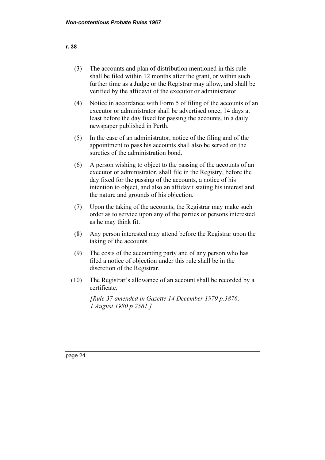| (3) | The accounts and plan of distribution mentioned in this rule     |
|-----|------------------------------------------------------------------|
|     | shall be filed within 12 months after the grant, or within such  |
|     | further time as a Judge or the Registrar may allow, and shall be |
|     | verified by the affidavit of the executor or administrator.      |

- (4) Notice in accordance with Form 5 of filing of the accounts of an executor or administrator shall be advertised once, 14 days at least before the day fixed for passing the accounts, in a daily newspaper published in Perth.
- (5) In the case of an administrator, notice of the filing and of the appointment to pass his accounts shall also be served on the sureties of the administration bond.
- (6) A person wishing to object to the passing of the accounts of an executor or administrator, shall file in the Registry, before the day fixed for the passing of the accounts, a notice of his intention to object, and also an affidavit stating his interest and the nature and grounds of his objection.
- (7) Upon the taking of the accounts, the Registrar may make such order as to service upon any of the parties or persons interested as he may think fit.
- (8) Any person interested may attend before the Registrar upon the taking of the accounts.
- (9) The costs of the accounting party and of any person who has filed a notice of objection under this rule shall be in the discretion of the Registrar.
- (10) The Registrar's allowance of an account shall be recorded by a certificate.

[Rule 37 amended in Gazette 14 December 1979 p.3876; 1 August 1980 p.2561.]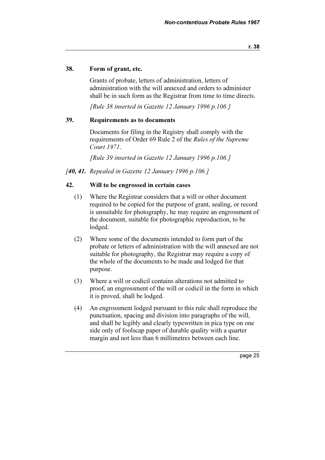#### 38. Form of grant, etc.

 Grants of probate, letters of administration, letters of administration with the will annexed and orders to administer shall be in such form as the Registrar from time to time directs.

[Rule 38 inserted in Gazette 12 January 1996 p.106.]

## 39. Requirements as to documents

 Documents for filing in the Registry shall comply with the requirements of Order 69 Rule 2 of the Rules of the Supreme Court 1971.

[Rule 39 inserted in Gazette 12 January 1996 p.106.]

#### [40, 41. Repealed in Gazette 12 January 1996 p.106.]

#### 42. Will to be engrossed in certain cases

- (1) Where the Registrar considers that a will or other document required to be copied for the purpose of grant, sealing, or record is unsuitable for photography, he may require an engrossment of the document, suitable for photographic reproduction, to be lodged.
- (2) Where some of the documents intended to form part of the probate or letters of administration with the will annexed are not suitable for photography, the Registrar may require a copy of the whole of the documents to be made and lodged for that purpose.
- (3) Where a will or codicil contains alterations not admitted to proof, an engrossment of the will or codicil in the form in which it is proved, shall be lodged.
- (4) An engrossment lodged pursuant to this rule shall reproduce the punctuation, spacing and division into paragraphs of the will, and shall be legibly and clearly typewritten in pica type on one side only of foolscap paper of durable quality with a quarter margin and not less than 6 millimetres between each line.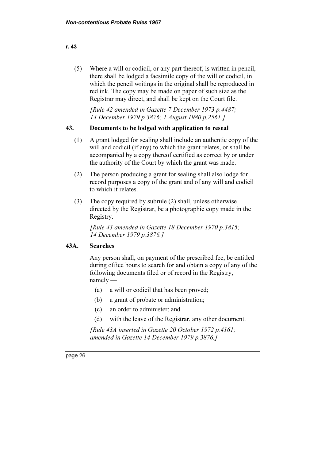#### r. 43

 (5) Where a will or codicil, or any part thereof, is written in pencil, there shall be lodged a facsimile copy of the will or codicil, in which the pencil writings in the original shall be reproduced in red ink. The copy may be made on paper of such size as the Registrar may direct, and shall be kept on the Court file.

 [Rule 42 amended in Gazette 7 December 1973 p.4487; 14 December 1979 p.3876; 1 August 1980 p.2561.]

## 43. Documents to be lodged with application to reseal

- (1) A grant lodged for sealing shall include an authentic copy of the will and codicil (if any) to which the grant relates, or shall be accompanied by a copy thereof certified as correct by or under the authority of the Court by which the grant was made.
- (2) The person producing a grant for sealing shall also lodge for record purposes a copy of the grant and of any will and codicil to which it relates.
- (3) The copy required by subrule (2) shall, unless otherwise directed by the Registrar, be a photographic copy made in the Registry.

 [Rule 43 amended in Gazette 18 December 1970 p.3815; 14 December 1979 p.3876.]

## 43A. Searches

 Any person shall, on payment of the prescribed fee, be entitled during office hours to search for and obtain a copy of any of the following documents filed or of record in the Registry, namely —

- (a) a will or codicil that has been proved;
- (b) a grant of probate or administration;
- (c) an order to administer; and
- (d) with the leave of the Registrar, any other document.

 [Rule 43A inserted in Gazette 20 October 1972 p.4161; amended in Gazette 14 December 1979 p.3876.]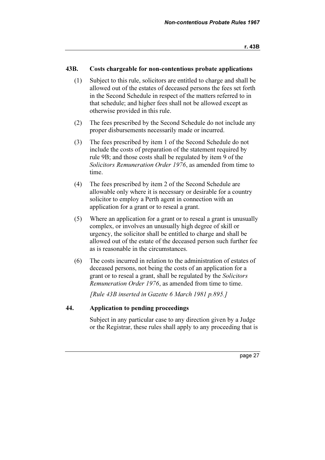## 43B. Costs chargeable for non-contentious probate applications

- (1) Subject to this rule, solicitors are entitled to charge and shall be allowed out of the estates of deceased persons the fees set forth in the Second Schedule in respect of the matters referred to in that schedule; and higher fees shall not be allowed except as otherwise provided in this rule.
- (2) The fees prescribed by the Second Schedule do not include any proper disbursements necessarily made or incurred.
- (3) The fees prescribed by item 1 of the Second Schedule do not include the costs of preparation of the statement required by rule 9B; and those costs shall be regulated by item 9 of the Solicitors Remuneration Order 1976, as amended from time to time.
- (4) The fees prescribed by item 2 of the Second Schedule are allowable only where it is necessary or desirable for a country solicitor to employ a Perth agent in connection with an application for a grant or to reseal a grant.
- (5) Where an application for a grant or to reseal a grant is unusually complex, or involves an unusually high degree of skill or urgency, the solicitor shall be entitled to charge and shall be allowed out of the estate of the deceased person such further fee as is reasonable in the circumstances.
- (6) The costs incurred in relation to the administration of estates of deceased persons, not being the costs of an application for a grant or to reseal a grant, shall be regulated by the Solicitors Remuneration Order 1976, as amended from time to time.

[Rule 43B inserted in Gazette 6 March 1981 p.895.]

#### 44. Application to pending proceedings

 Subject in any particular case to any direction given by a Judge or the Registrar, these rules shall apply to any proceeding that is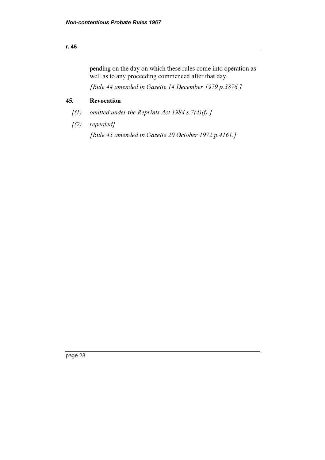## r. 45

pending on the day on which these rules come into operation as well as to any proceeding commenced after that day.

[Rule 44 amended in Gazette 14 December 1979 p.3876.]

## 45. Revocation

- $[(1)$  omitted under the Reprints Act 1984 s. 7(4)(f).]
- [(2) repealed]

[Rule 45 amended in Gazette 20 October 1972 p.4161.]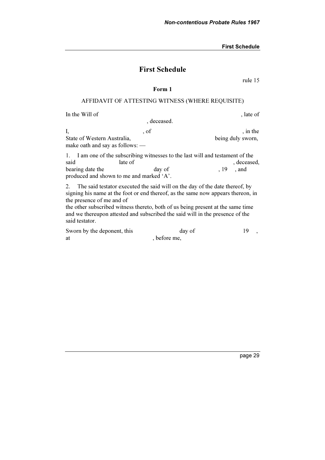## First Schedule

rule 15

#### Form 1

#### AFFIDAVIT OF ATTESTING WITNESS (WHERE REQUISITE)

In the Will of , late of

, deceased.

I, sof the same state of  $\mathbf{I}$ , in the State of Western Australia, being duly sworn, make oath and say as follows: —

1. I am one of the subscribing witnesses to the last will and testament of the said late of her cased, and  $\alpha$  are cased,  $\alpha$  and  $\alpha$  are cased,  $\alpha$ bearing date the day of , 19, and produced and shown to me and marked 'A'.

2. The said testator executed the said will on the day of the date thereof, by signing his name at the foot or end thereof, as the same now appears thereon, in the presence of me and of

the other subscribed witness thereto, both of us being present at the same time and we thereupon attested and subscribed the said will in the presence of the said testator.

Sworn by the deponent, this day of 19, at before me,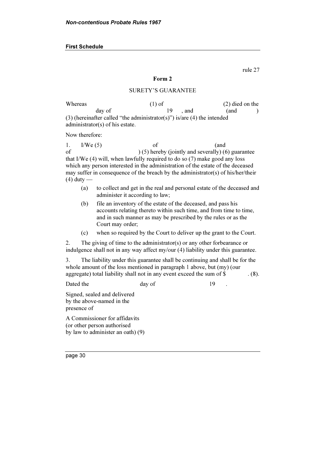rule 27

#### Form 2

#### SURETY'S GUARANTEE

Whereas  $(1)$  of  $(2)$  died on the day of  $19$ , and  $($ and  $)$ (3) (hereinafter called "the administrator(s)") is/are (4) the intended administrator(s) of his estate.

Now therefore:

1.  $I/We(5)$  of (and of ) (5) hereby (jointly and severally) (6) guarantee that I/We (4) will, when lawfully required to do so (7) make good any loss which any person interested in the administration of the estate of the deceased may suffer in consequence of the breach by the administrator(s) of his/her/their  $(4)$  duty —

- (a) to collect and get in the real and personal estate of the deceased and administer it according to law;
- (b) file an inventory of the estate of the deceased, and pass his accounts relating thereto within such time, and from time to time, and in such manner as may be prescribed by the rules or as the Court may order;
- (c) when so required by the Court to deliver up the grant to the Court.

2. The giving of time to the administrator(s) or any other forbearance or indulgence shall not in any way affect my/our (4) liability under this guarantee.

3. The liability under this guarantee shall be continuing and shall be for the whole amount of the loss mentioned in paragraph 1 above, but (my) (our aggregate) total liability shall not in any event exceed the sum of \$ . (8).

Dated the day of 19

Signed, sealed and delivered by the above-named in the presence of

A Commissioner for affidavits (or other person authorised by law to administer an oath) (9)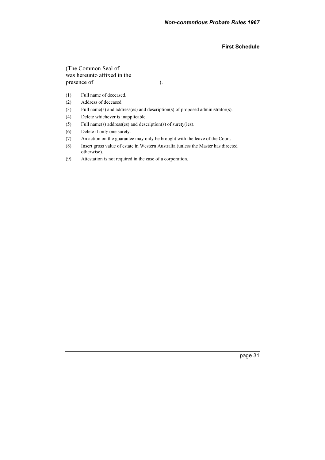#### (The Common Seal of was hereunto affixed in the presence of  $\qquad$ ).

- (1) Full name of deceased.
- (2) Address of deceased.
- (3) Full name(s) and address(es) and description(s) of proposed administrator(s).
- (4) Delete whichever is inapplicable.
- (5) Full name(s) address(es) and description(s) of surety(ies).
- (6) Delete if only one surety.
- (7) An action on the guarantee may only be brought with the leave of the Court.
- (8) Insert gross value of estate in Western Australia (unless the Master has directed otherwise).
- (9) Attestation is not required in the case of a corporation.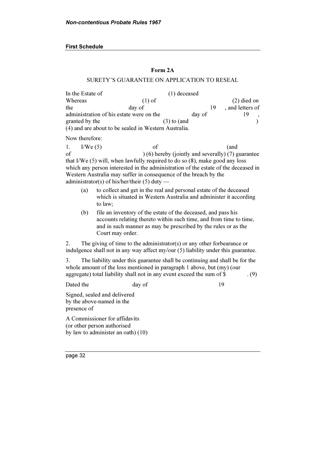## Form 2A

#### SURETY'S GUARANTEE ON APPLICATION TO RESEAL

| In the Estate of                                     |          | $(1)$ deceased |        |                  |
|------------------------------------------------------|----------|----------------|--------|------------------|
| Whereas                                              | $(1)$ of |                |        | $(2)$ died on    |
| the                                                  | day of   |                | 19     | , and letters of |
| administration of his estate were on the             |          |                | day of |                  |
| granted by the                                       |          | $(3)$ to (and  |        |                  |
| (4) and are about to be sealed in Western Australia. |          |                |        |                  |

Now therefore:

1.  $I/We(5)$  of (and of ) (6) hereby (jointly and severally) (7) guarantee that I/We (5) will, when lawfully required to do so (8), make good any loss which any person interested in the administration of the estate of the deceased in Western Australia may suffer in consequence of the breach by the administrator(s) of his/her/their  $(5)$  duty —

- (a) to collect and get in the real and personal estate of the deceased which is situated in Western Australia and administer it according to law;
- (b) file an inventory of the estate of the deceased, and pass his accounts relating thereto within such time, and from time to time, and in such manner as may be prescribed by the rules or as the Court may order.

2. The giving of time to the administrator(s) or any other forbearance or indulgence shall not in any way affect my/our (5) liability under this guarantee.

3. The liability under this guarantee shall be continuing and shall be for the whole amount of the loss mentioned in paragraph 1 above, but (my) (our aggregate) total liability shall not in any event exceed the sum of \$  $(9)$ 

Dated the day of 19

Signed, sealed and delivered by the above-named in the presence of

A Commissioner for affidavits (or other person authorised by law to administer an oath) (10)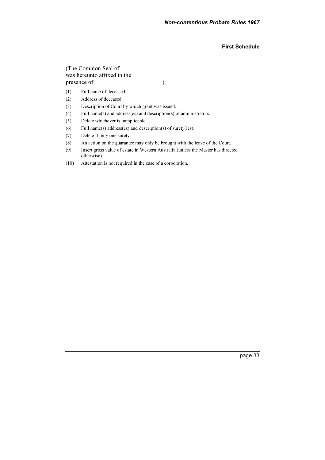#### (The Common Seal of was hereunto affixed in the presence of ).

- (1) Full name of deceased.
- (2) Address of deceased.
- (3) Description of Court by which grant was issued.
- (4) Full name(s) and address(es) and description(s) of administrators.
- (5) Delete whichever is inapplicable.
- (6) Full name(s) address(es) and description(s) of surety(ies).
- (7) Delete if only one surety.
- (8) An action on the guarantee may only be brought with the leave of the Court.
- (9) Insert gross value of estate in Western Australia (unless the Master has directed otherwise).
- (10) Attestation is not required in the case of a corporation.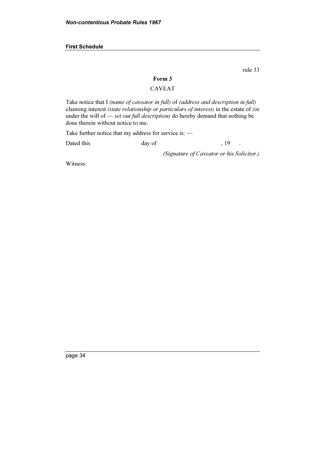rule 33

## Form 3

## CAVEAT

Take notice that I (name of caveator in full) of (address and description in full) claiming interest (state relationship or particulars of interest) in the estate of (or under the will of — set out full description) do hereby demand that nothing be done therein without notice to me.

Take further notice that my address for service is: —

Dated this day of , 19 .

(Signature of Caveator or his Solicitor.)

Witness: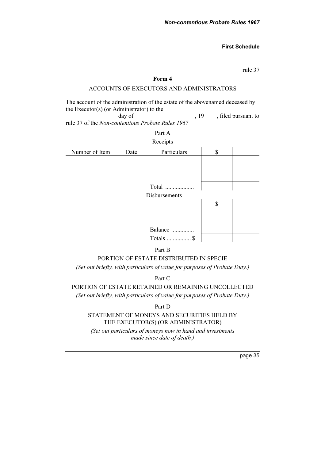rule 37

#### Form 4

## ACCOUNTS OF EXECUTORS AND ADMINISTRATORS

The account of the administration of the estate of the abovenamed deceased by the Executor(s) (or Administrator) to the

day of  $, 19, 19$ , filed pursuant to rule 37 of the Non-contentious Probate Rules 1967

#### Part A **Receipts**

|                |      | receipes      |    |
|----------------|------|---------------|----|
| Number of Item | Date | Particulars   | \$ |
|                |      |               |    |
|                |      |               |    |
|                |      |               |    |
|                |      | Total         |    |
|                |      | Disbursements |    |
|                |      |               | \$ |
|                |      |               |    |
|                |      |               |    |
|                |      | Balance       |    |
|                |      | Totals  \$    |    |

## Part B

## PORTION OF ESTATE DISTRIBUTED IN SPECIE

(Set out briefly, with particulars of value for purposes of Probate Duty.)

Part C

#### PORTION OF ESTATE RETAINED OR REMAINING UNCOLLECTED

(Set out briefly, with particulars of value for purposes of Probate Duty.)

#### Part D

#### STATEMENT OF MONEYS AND SECURITIES HELD BY THE EXECUTOR(S) (OR ADMINISTRATOR)

(Set out particulars of moneys now in hand and investments made since date of death.)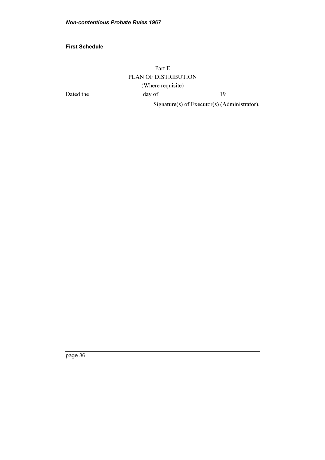Part E PLAN OF DISTRIBUTION (Where requisite) Dated the day of 19 . Signature(s) of Executor(s) (Administrator).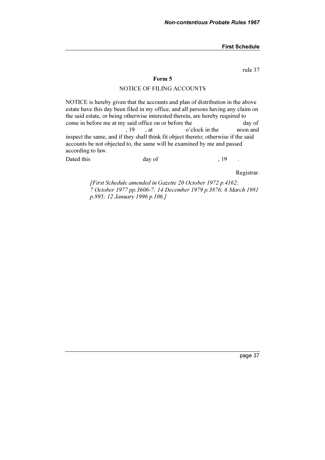rule 37

#### Form 5

#### NOTICE OF FILING ACCOUNTS

NOTICE is hereby given that the accounts and plan of distribution in the above estate have this day been filed in my office, and all persons having any claim on the said estate, or being otherwise interested therein, are hereby required to come in before me at my said office on or before the day of , 19 , at o'clock in the noon and inspect the same, and if they shall think fit object thereto; otherwise if the said accounts be not objected to, the same will be examined by me and passed according to law.

Dated this day of the same of the set of the set of the set of the set of the set of the set of the set of the set of the set of the set of the set of the set of the set of the set of the set of the set of the set of the s

Registrar.

 [First Schedule amended in Gazette 20 October 1972 p.4162; 7 October 1977 pp.3606-7; 14 December 1979 p.3876; 6 March 1981 p.895; 12 January 1996 p.106.]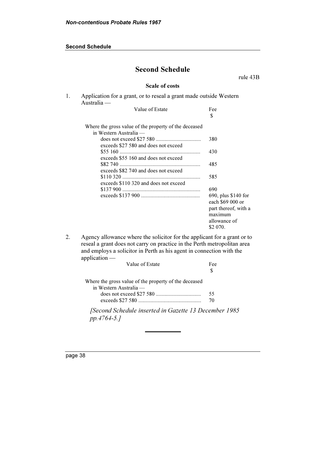#### Second Schedule

|    | <b>Second Schedule</b>                                                                                                                                                                                                                        |                                                                                                        |
|----|-----------------------------------------------------------------------------------------------------------------------------------------------------------------------------------------------------------------------------------------------|--------------------------------------------------------------------------------------------------------|
|    |                                                                                                                                                                                                                                               | rule 43B                                                                                               |
|    | <b>Scale of costs</b>                                                                                                                                                                                                                         |                                                                                                        |
| 1. | Application for a grant, or to reseal a grant made outside Western<br>$A$ ustralia —                                                                                                                                                          |                                                                                                        |
|    | Value of Estate                                                                                                                                                                                                                               | Fee<br>S                                                                                               |
|    | Where the gross value of the property of the deceased<br>in Western Australia —                                                                                                                                                               |                                                                                                        |
|    | exceeds \$27 580 and does not exceed                                                                                                                                                                                                          | 380                                                                                                    |
|    | exceeds \$55 160 and does not exceed                                                                                                                                                                                                          | 430                                                                                                    |
|    | exceeds \$82 740 and does not exceed                                                                                                                                                                                                          | 485                                                                                                    |
|    | exceeds \$110 320 and does not exceed                                                                                                                                                                                                         | 585                                                                                                    |
|    |                                                                                                                                                                                                                                               | 690                                                                                                    |
|    |                                                                                                                                                                                                                                               | 690, plus \$140 for<br>each \$69 000 or<br>part thereof, with a<br>maximum<br>allowance of<br>\$2 070. |
| 2. | Agency allowance where the solicitor for the applicant for a grant or to<br>reseal a grant does not carry on practice in the Perth metropolitan area<br>and employs a solicitor in Perth as his agent in connection with the<br>application - |                                                                                                        |
|    | Value of Estate                                                                                                                                                                                                                               | Fee<br>\$                                                                                              |
|    | Where the gross value of the property of the deceased                                                                                                                                                                                         |                                                                                                        |

in Western Australia does not exceed \$27 580 ................................. 55 exceeds \$27 580 .............................................. 70

 [Second Schedule inserted in Gazette 13 December 1985 pp.4764-5.]